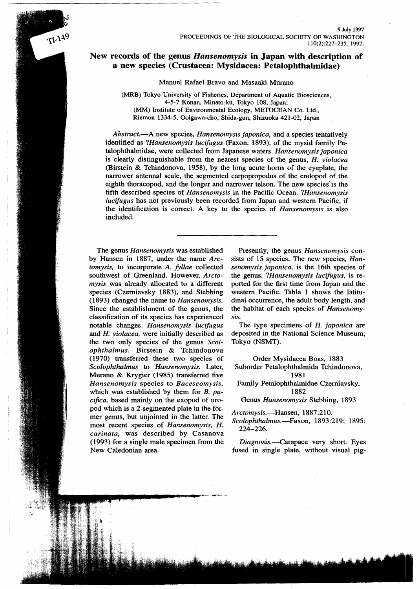# **New records of the genus** *Hansenomysis* **in Japan with description of a new species (Crustacea: Mysidacea: Petalophthalmidae)**

Manuel Rafael Bravo and Masaaki Murano

(MRB) Tokyo University of Fisheries, Department of Aquatic Biosciences, 4-5-7 Konan, Minato~ku, Tokyo 108, Japan; (MM) Institute of Environmental Ecology, METOCEAN Co. Ltd., Riemon 1334-5, Ooigawa-cho, Shida-gun, Shizuoka 421-02, Japan

*Abstract.-A* new species, *Hansenomysis japonica,* and a species tentatively identified as *?Hansenomysis lucifugus* (Faxon, 1893), of the mysid family Petalophthalmidae, were collected from Japanese waters. *Hansenomysis japonica* is clearly distinguishable from the nearest species of the genus, *H. violacea* (Birstein & Tchindonova, 1958), by the long acute horns of the eyeplate, the narrower antennal scale, the segmented carpopropodus of the endopod of the eighth thoracopod, and the longer and narrower telson. The new species' is the fifth described species of *Hansenomysis* in the Pacific Ocean. *?Hansenomysis lucifugus* has not previously been recorded from Japan and western Pacific, if the identification is correct. A key to the species of *Hansenomysis* is also included.

The genus *Hansenomysis* was established by Hansen in 1887, under the name *Arctomysis,* to incorporate *A. fyllae* collected southwest of Greenland. However, *Arctomysis* was already allocated to a different species (Czerniavsky 1883), and Stebbing (1893) changed the name to *Hansenomysis.* Since the establishment of the genus, the classification of its species has experienced notable changes. *Hansenomysis luc!fugus* and *H. violacea,* were initially described as the two only species' of the genus *Scolophthalmus.* Birstein & Tchindonova (1970) transferred these two species of *Scolophthalmus* to *Hansenomysis.* Later, Murano & Krygier (1985) transferred five *Hansenomysis* species to *Bacescomysis,* which was established by them for *B. pacifica,* based mainly on the exopod of uropod which is a 2-segmented plate in the former genus, but unjointed in the latter. The most recent species of *Hansenomysis, H. carinata,* was described by Casanova (1993) for a single male specimen from the New Caledonian area.

 $T1-149$ 

Presently, the genus *Hansenomysis* consists of 15 species. The new species, *Hansenomysis japonica,* is the 16th species of the genus. *?Hansenomysis lucifugus,* is reported for the first time from Japan and the western Pacific. Table 1 shows the latitudinal occurrence, the adult body length, and the habitat of each species of *Hansenomysis.*

The type specimens of *H. japonica* are deposited in the National Science Museum, Tokyo (NSMT).

Order Mysidacea Boas, 1883 Suborder Petalophthalmida Tchindonova, 1981 Family Petalophthalmidae Czerniavsky, 1882 Genus *Hansenomysis* Stebbing, 1893

*Arctomysis.-Hansen, 1887:210.*

*Scolophthalmus.-Faxon,* 1893:219; 1895: 224-226.

*Diagnosis.--carapace* very short. Eyes fused in single plate, without visual pig-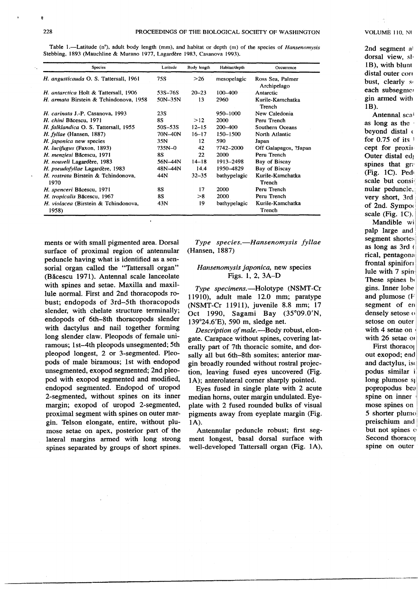Table 1.—Latitude (n°), adult body length (mm), and habitat or depth (m) of the species of *Hansenomysis* Stebbing, 1893 (Mauchline & Murano 1977, Lagardere 1983, Casanova 1993).

| Species                                       | Latitude    | Body length | Habitat/depth | Occurrence                      |
|-----------------------------------------------|-------------|-------------|---------------|---------------------------------|
| H. angusticauda O. S. Tattersall, 1961        | 75S         | >26         | mesopelagic   | Ross Sea, Palmer<br>Archipelago |
| H. antarctica Holt & Tattersall, 1906         | 53S-76S     | $20 - 23$   | $100 - 400$   | Antarctic                       |
| H. armata Birstein & Tchindonova, 1958        | $50N-35N$   | 13          | 2960          | Kurile-Kamchatka<br>Trench      |
| H. carinata J.-P. Casanova, 1993              | 23S         |             | 950-1000      | New Caledonia                   |
| H. chini Băcescu, 1971                        | 88          | >12         | 2000          | Peru Trench                     |
| H. falklandica O. S. Tattersall, 1955         | $50S - 53S$ | $12 - 15$   | 200-400       | Southern Oceans                 |
| H. fyllae (Hansen, 1887)                      | 70N-40N     | $16 - 17$   | 150-1500      | North Atlantic                  |
| H. japonica new species                       | 35N         | 12          | 590           | Japan                           |
| H. lucifugus (Faxon, 1893)                    | $735N - 0$  | 42          | ?742-2000     | Off Galapagos, ?Japan           |
| H. menziesi Băcescu, 1971                     | <b>8S</b>   | 22          | 2000          | Peru Trench                     |
| H. nouveli Lagardère, 1983                    | 56N-44N     | $14 - 18$   | 1913-2498     | Bay of Biscay                   |
| H. pseudofyllae Lagardère, 1983               | 48N-44N     | 14.4        | 1950-4829     | Bay of Biscay                   |
| H. rostrata Birstein & Tchindonova.<br>1970   | 44N         | $32 - 35$   | bathypelagic  | Kurile-Kamchatka<br>Trench      |
| H. spenceri Băcescu, 1971                     | 8S          | 17          | 2000          | Peru Trench                     |
| H. tropicalis Băcescu, 1967                   | <b>8S</b>   | >8          | 2000          | Peru Trench                     |
| H. violacea (Birstein & Tchindonova,<br>1958) | 43N         | 19          | bathypelagic  | Kurile-Kamchatka<br>Trench      |

ments or with small pigmented area. Dorsal surface of proximal region of antennular peduncle having what is identified as a sensorial organ called the "Tattersall organ" (Bacescu 1971). Antennal scale lanceolate with spines and setae. Maxilla and maxillule normal. First and 2nd thoracopods robust; endopods of 3rd-5th thoracopods slender, with chelate structure terminally; endopods of 6th-8th thoracopods slender with dactylus and nail together forming long slender claw. Pleopods of female uniramous; 1st-4th pleopods unsegmented; 5th pleopod longest, 2 or 3-segmented. Pleopods of male biramous; 1st with endopod unsegmented, exopod segmented; 2nd pleopod with exopod segmented and modified, endopod segmented. Endopod of uropod 2-segmented, without spines on its inner margin; exopod of uropod 2-segmented, proximal segment with spines on outer margin. Telson elongate, entire, without plumose setae on apex, posterior part of the lateral margins armed with long strong spines separated by groups of short spines.

*Type species.-Hansenomysis fyllae* (Hansen, 1887)

# *Hansenomysis japonica,* new species Figs. 1, 2, 3A-D

*Type specimens.-Holotype* (NSMT -Cr 11910), adult male 12.0 mm; paratype (NSMT-Cr 11911), juvenile 8.8 mm; 17 Oct 1990, Sagami Bay (35°09.0'N, 139°24.6'E), 590 m, sledge net.

*Description of mal*e.-Body robust, elongate. Carapace without spines, covering laterally part of 7th thoracic somite, and dorsally all but 6th-8th somites; anterior margin broadly rounded without rostral projection, leaving fused eyes uncovered (Fig. 1A); anterolateral corner sharply pointed.

Eyes fused in single plate with 2 acute median horns, outer margin undulated. Eyeplate with 2 fused rounded bulks of visual pigments away from eyeplate margin (Fig. *lA).*

Antennular peduncle robust; first segment longest, basal dorsal surface with well-developed Tattersall organ (Fig. *lA),*

.--------------------------.---------.--.--."'- ...-.-.

2nd segment al dorsal view, sl· IB), with blunt distal outer con bust, clearly so each subsegmer gin armed with IB),

Antennal scal as long as the ' beyond distal  $\epsilon$ for  $0.75$  of its  $\overline{\phantom{a}}$ cept for proxim Outer distal ed; spines that gra (Fig. lC). Pedl scale but consinular peduncle, very short, 3rd of 2nd. Sympoo scale (Fig.  $1C$ ).

Mandible wi palp large and segment shortes as long as 3rd ( rical, pentagona frontal spinifon lule with 7 spin-These spines be gins. Inner lobe and plumose (F segment of en densely setose o setose on outer with 4 setae on with 26 setae or

First thoracol out exopod; end and dactylus, iso podus similar i long plumose s<sub>l</sub> popropodus bea spine on inner mose spines on 5 shorter plumo! preischium and but not spines o Second thoraco<sub>l</sub> spine on outer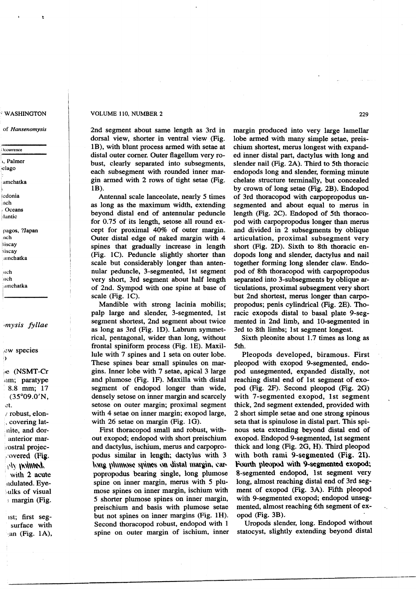#### WASHINGTON

of *Hansenomysis*

# ;')ccurrence

t, Palmer ,'clago

amchatka

.Icdonia nch **Oceans** 

:ilantic

pagos. ?Japan neh **Biscay** siscay

"mchatka

Itch  $\ln$ ch amchatka

# *'mysis fyllae*

,0W species  $\mathbf{I}$ 

l,e (NSMT-Cr inm; paratype 8.8 mm; 17 (35°09.0'N, 0t. *I* robust, elon-

. covering latnite, and doranterior mar rostral projec-,'overed (Fig.  $\mathcal{O}(\mathcal{V})$  indifficit. with 2 acute ndulated. Eye ulks of visual : margin (Fig.

1st; first segsurface with  $\alpha$  (Fig. 1A),

## VOLUME 110, NUMBER 2

2nd segment about same length as 3rd in dorsal view, shorter in ventral view (Fig. IB), with blunt process armed with setae at distal outer comer. Outer flagellum very robust, clearly separated into subsegments, each subsegment with rounded inner margin armed with 2 rows of tight setae (Fig. 1**B**).

Antennal scale lanceolate, nearly 5 times as long as the maximum width, extending beyond distal end of antennular peduncle for 0.75 of its length, setose all round except for proximal 40% of outer margin. Outer distal edge of naked margin with 4 spines that gradually increase in length (Fig. lC). Peduncle slightly shorter than scale but considerably longer than antennular peduncle, 3-segmented, 1st segment very short, 3rd segment about half length of 2nd. Sympod with one spine at base of scale (Fig. lC).

Mandible with strong lacinia mobilis; palp large and slender, 3-segmented, 1st segment shortest, 2nd segment about twice as long as 3rd (Fig. ID). Labrum symmetrical, pentagonal, wider than long, without frontal spiniform process (Fig. IE). Maxillule with 7 spines and 1 seta on outer lobe. These spines bear small spinules on margins. Inner lobe with 7 setae, apical 3 large and plumose (Fig. IF). Maxilla with distal segment of endopod longer than wide, densely setose on inner margin and scarcely setose on outer margin; proximal segment with 4 setae on inner margin; exopod large, with 26 setae on margin (Fig. IG).

First thoracopod small and robust, without exopod; endopod with short preischium and dactylus, ischium, merus and carpopropodus similar in length; dactylus with 3 *\\)\~ \)\\\\\\~'t* ~\)h~ \)\\\\i~\"\ \\\\\1~\\\, ~\\1' popropodus bearing single, long plumose spine on inner margin, merus with 5 plumose spines on inner margin, ischium with 5 shorter plumose spines on inner margin, preischium and basis with plumose setae but not spines on inner margins (Fig. IH). Second thoracopod robust, endopod with 1 spine on outer margin of ischium, inner

--------------.------.--------------.--.--.------------------------\_.--------\_.\_--~ .."\_....-.-..

margin produced into very large lamellar lobe armed with many simple setae, preischium shortest, merus longest with expanded inner distal part, dactylus with long and slender nail (Fig. 2A). Third to 5th thoracic endopods long and slender, forming minute chelate structure terminally, but concealed by crown of long setae (Fig. 2B). Endopod of 3rd thoracopod with carpopropodus unsegmented and about equal to merus in length (Fig. 2C). Endopod of 5th thoracopod with carpopropodus longer than merus and divided in 2 subsegments by oblique articulation, proximal sub segment very short (Fig. 2D). Sixth to 8th thoracic endopods long and slender, dactylus and nail together forming long slender claw. Endopod of 8th thoracopod with carpopropodus separated into 3-subsegments by oblique articulations, proximal subsegment very short but 2nd shortest, merus longer than carpopropodus; penis cylindrical (Fig. 2E). Thoracic exopods distal to basal plate 9-segmented in 2nd limb, and 10-segmented in 3rd to 8th limbs; 1st segment longest.

Sixth pleonite about 1.7 times as long as 5th.

Pleopods developed, biramous. First pleopod with exopod 9-segmented, endopod unsegmented, expanded distally, not reaching distal end of 1st segment of exopod (Fig. 2F). Second pleopod (Fig. 2G) with 7-segmented exopod, 1st segment thick, 2nd segment extended, provided with 2 short simple setae and one strong spinous seta that is spinulose in distal part. This spinous seta extending beyond distal end of exopod. Endopod 9-segmented, 1st segment thick and long (Fig. 2G, H): Third pleopod with both rami 9-segmented (Fig. 21). Fourth pleopod with 9-segmented exopod; 8-segmented endopod, 1st segment very long, almost reaching distal end of 3rd segment of exopod (Fig. 3A). Fifth pleopod with 9-segmented exopod; endopod unsegmented, almost reaching 6th segment of exopod (Fig. 3B).

Uropods slender, long. Endopod without statocyst, slightly extending beyond distal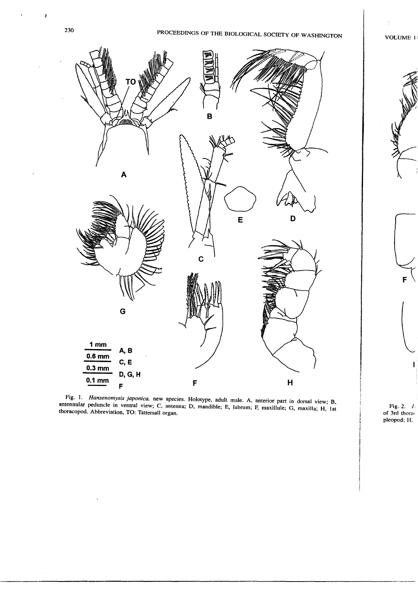b

# PROCEEDINGS OF THE BIOLOGICAL SOCIETY OF WASHINGTON VOLUME I



Fig. 1. *Hansenomysis japonica,* new species. Holotype, adult male. A, anterior part in dorsal view; B, antennular peduncle in ventral view; C, antenna; D, mandible; E, labrum; F, maxillule; G, maxilla; H, 1st thoracopod. Abbreviation, TO: Tattersall organ.

Fig. 2. *I.* of 3rd thora< pleopod; H.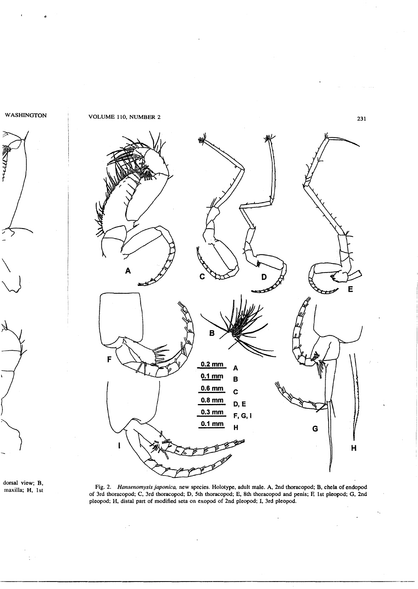

Α Ē  $\pmb{\mathsf{B}}$ **0.2mm** <sup>A</sup>  $0.1~{\rm mm}$  B **0.6mm** <sup>C</sup> **0.8mm D,E 0.3mm F,G,I 0.1 mm** <sup>H</sup> <sup>G</sup> I  $\sqrt{\frac{1}{N}}$ 

dorsal view; B,<br>maxilla; H, 1st

maxilla; H, 1st Fig. 2. *Hansenomysis japonica.* new species. Holotype, adult male. A, 2nd thoracopod; B, chela of endopod of 3rd thoracopod; C, 3rd thoracopod; D, 5th thoracopod; E, 8th thoracopod and penis; F; 1st pleopod; G, 2nd pleopod; H, distal part of modified seta on exopod of 2nd pleopod; I, 3rd pleopod.

 $\mathbb{R}^3$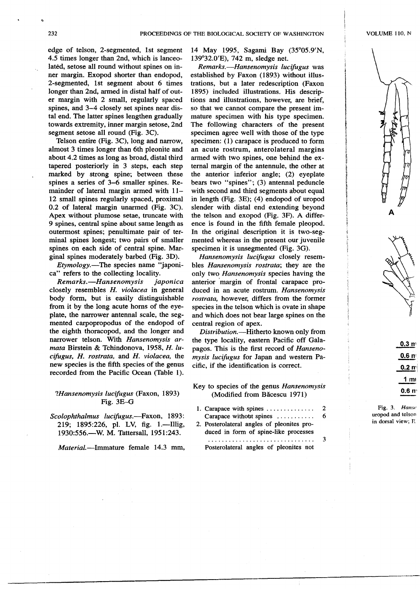edge of telson, 2-segmented, 1st segment 4.5 times longer than 2nd, which is lanceolated, setose all round without spines on inner margin. Exopod shorter than endopod, 2-segmented, 1st segment about 6 times longer than 2nd, armed in distal half of outer margin with 2 small, regularly spaced spines, and 3-4 closely set spines near distal end. The latter spines lengthen gradually towards extremity, inner margin setose, 2nd segment setose all round (Fig. 3C).

Telson entire (Fig. 3C), long and narrow, almost 3 times longer than 6th pleonite and about 4.2 times as long as broad, distal third tapered posteriorly in 3 steps, each step marked by strong spine; between these spines a series of 3-6 smaller spines. Remainder of lateral margin armed with 11- 12 small spines regularly spaced, proximal 0.2 of lateral margin unarmed (Fig. 3C). Apex without plumose setae, truncate with 9 spines, central spine about same length as outermost spines; penultimate pair of terminal spines longest; two pairs of smaller spines on each side of central spine. Marginal spines moderately barbed (Fig. 3D).

*Etymology.-The* species name "japonica" refers to the collecting locality.

*Remarks.-Hansenomysis japonica* closely resembles *H. violacea* in general body form, but is easily distinguishable from it by the long acute horns of the eyeplate, the narrower antennal scale, the segmented carpopropodus of the endopod of the eighth thoracopod, and the longer and narrower telson. With *Hansenomysis armata* Birstein & Tchindonova, 1958, *H. lucifugus, H. rostrata,* and *H. violacea,* the new species is the fifth species of the genus recorded from the Pacific Ocean (Table 1).

# *?Hansenomysis lucifugus* (Faxon, 1893) Fig. 3E-G

*Scolophthalmus lucifugus.-Faxon, 1893:* 219; 1895:226, pI. LV, fig. I.-Illig, 1930:556.-W. M. Tattersall, 1951:243.

*Material.-Immature* female 14.3 mm,

-------------------.----------------.--

14 May 1995, Sagami Bay (35°05.9'N, 139°32.0'E), 742 m, sledge net.

*Remarks.-Hansenomysis lucifugus* was established by Faxon (1893) without illustrations, but a later redescription (Faxon 1895) included illustrations. His descriptions and illustrations, however, are brief, so that we cannot compare the present immature specimen with his type specimen. The following characters of the present specimen agree well with those of the type specimen: (1) carapace is produced to form an acute rostrum, anterolateral margins armed with two spines, one behind the external margin of the antennule, the other at the anterior inferior angle; (2) eyeplate bears two "spines"; (3) antennal peduncle with second and third segments about equal in length (Fig. 3E); (4) endopod of uropod slender with distal end extending beyond the telson and exopod (Fig. 3F). A difference is found in the fifth female pleopod. In the original description it is two-segmented whereas in the present our juvenile specimen it is unsegmented (Fig. 3G).

*Hansenomysis lucifugus* closely resembles *Hansenomysis rostrata;* they are the only two *Hansenomysis* species having the anterior 'margin of frontal carapace produced in an acute rostrum. *Hansenomysis rostrata,* however, differs from the former species in the telson which is ovate in shape and which does not bear large spines on the central region of apex.

*Distribution.-Hitherto* known only from the type locality, eastern Pacific off Galapagos. This is the first record of *Hansenomysis lucifugus* for Japan and western Pacific, if the identification is correct.

- Key to species of the genus *Hansenomysis* (Modified from Bacescu 1971)
- 1. Carapace with spines  $\ldots \ldots \ldots$  2 Carapace without spines  $\dots\dots\dots\dots$  6
- 2. Posterolateral angles of pleonites produced in form of spine-like processes

Posterolateral angles of pleonites not 3



 $0.3<sub>m</sub>$  $0.6 n$  $0.2 m$  $1<sub>m</sub>$ 0.6 n'

Fig. 3. *Hanse* uropod and telson in dorsal view; E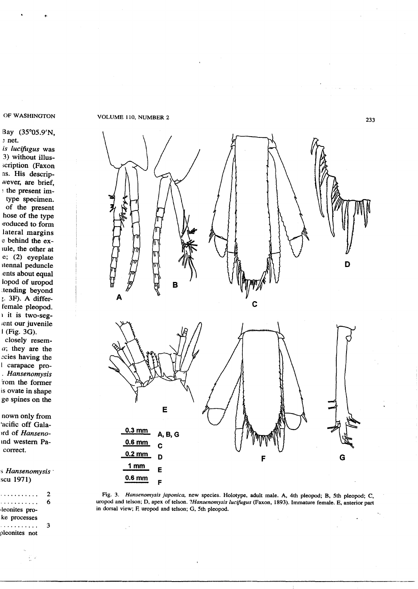# Bay (35°05.9'N, ~ net.

*is lucifugus* was 3) without illus- >cription (Faxon ns. His descripwever, are brief, ~the present imtype specimen. of the present hose of the type lroduced to form lateral margins e behind the exlule, the other at

e; (2) eyeplate Itennal peduncle lents about equal lopod of uropod ~tending beyond ;. 3F). A differfemale pleopod. I it is two-seg- ;ent our juvenile I(Fig. 3G).

closely resem*a;* they are the ~cies having the I carapace pro- *. Hansenomysis* rom the former is ovate in shape ge spines on the

nown only from 'acific off Gala- *)ed* of *Hanseno*and western Pacorrect.

!) *Hansenomysis .* scu 1971)

| .             | 2 |
|---------------|---|
| . <b>.</b> .  | 6 |
| leonites pro- |   |
| ke processes  |   |
| . <b>.</b>    | ٩ |
| pleonites not |   |
|               |   |

OF WASHINGTON VOLUME 110, NUMBER 2



Fig. 3. *Hansenomysis japonica.* new species. Holotype, adult male. A, 4th pleopod; B, 5th pleopod; C, uropod and telson; D, apex of telson. *?Hansenomysis lucifugus* (Faxon, 1893). Immature female. E, anterior part in dorsal view; F, uropod and telson; G, 5th pleopod.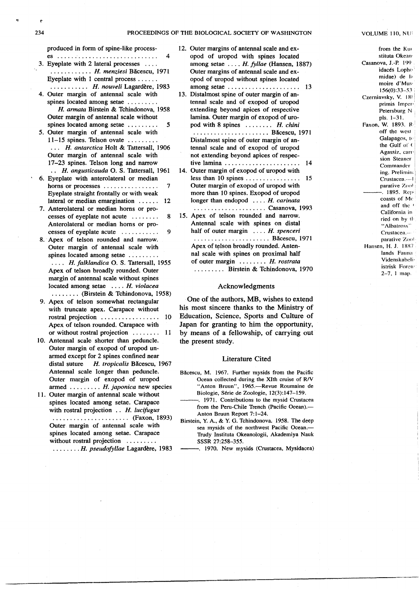produced in form of spine-like process-

- es 4 3. Eyeplate with 2 lateral processes  $\dots$ *· " H. menziesi* Bacescu, 1971 Eyeplate with 1 central process  $\dots$ .
- *· , H. nouveli* Lagardere, 1983 4. Outer margin of antennal scale with spines located among setae ........
- *H. annata* Birstein & Tchindonova, 1958 Outer margin of antennal scale without spines located among setae  $\dots \dots \dots$  5
- 5. Outer margin of antennal scale with  $11-15$  spines. Telson ovate  $\ldots$ .... *· .. H. antarctica* Holt & Tattersall, 1906 Outer margin of antennal scale with 17-23 spines. Telson long and narrow *" H. angusticauda* O. S. Tattersall, 1961
- 6. Eyeplate with anterolateral or median horns or processes 7 Eyeplate straight frontally or with weak lateral or median emargination  $\ldots$  12
- 7. Anterolateral or median horns or processes of eveplate not acute  $\dots \dots$  8 Anterolateral or median horns or processes of eyeplate acute  $\ldots \ldots$  9
- 8. Apex of telson rounded and narrow. Outer margin of antennal scale with spines located among setae ........ *· ... H. falklandica* O. S. Tattersall, 1955 Apex of telson broadly rounded. Outer margin of antennal scale without spines located among setae .... *H. violacea* · (Birstein & Tchindonova, 1958)
- 9. Apex of telson somewhat rectangular with truncate apex. Carapace without rostral projection 10 Apex of telson rounded. Carapace with or without rostral projection  $\dots \dots 11$
- 10. Antennal scale shorter than peduncle. Outer margin of exopod of uropod unarmed except for 2 spines confined near distal suture *H. tropicalis* Bacescu, 1967 Antennal scale longer than peduncle. Outer margin of exopod of uropod armed ........ H. japonica new species
- 11. Outer margin of antennal scale without spines located among setae. Carapace with rostral projection .. *H. lucifugus* · (Faxon, 1893) Outer margin of antennal scale with spines located among setae. Carapace without rostral projection ........ *· H. pseudofyllae* Lagardere, 1983
- 12. Outer margins of antennal scale and exopod of uropod with spines located among setae .... *H. fyllae* (Hansen, 1887) Outer margins of antennal scale and exopod of uropod without spines located among setae  $\ldots$ , . . . . . . . . . . . . . . . . 13
- 13. Distalmost spine of outer margin of antennal scale and of exopod of uropod extending beyond' apices of respective lamina. Outer margin of exopod of uropod with 8 spines  $\ldots \ldots$  *H. chini* · Bacescu, 1971
- Distalmost spine of outer margin of antennal scale and of exopod of uropod not extending beyond apices of respective lamina  $\ldots \ldots \ldots \ldots \ldots \ldots \ldots$  14
- 14. Outer margin of exopod of uropod with less than 10 spines  $\ldots \ldots \ldots \ldots \ldots$  15 Outer margin of exopod of uropod with more than· 10 spines. Exopod of uropod longer than endopod ... H. carinata
- · Casanova, 1993 15. Apex of telson rounded and narrow. Antennal scale with spines on distal half of outer margin  $...$  *H. spenceri* · Bacescu, 1971 Apex of telson broadly rounded. Antennal scale with spines on proximal half of outer margin ....... H. rostrata ........ Birstein & Tchindonova, 1970

#### Acknowledgments

One of the authors, MB, wishes to extend his most sincere thanks to the Ministry of Education, Science, Sports and Culture of Japan for granting to him the opportunity, by means of a fellowship, of carrying out the present study.

### Literature Cited

- Băcescu, M. 1967. Further mysids from the Pacific Ocean collected during the XIth cruise of R/V "Anton Bruun", 1965.-Revue Roumaine de Biologie, Serie de Zoologie, 12(3):147-159.
	- . 1971. Contributions to the mysid Crustacea from the Peru-Chile Trench (Pacific Ocean).- Anton Bruun Report 7:1-24.
- Birstein, Y. *A.,* & Y;G. Tchindonova. 1958. The deep sea mysids of the northwest Pacific Ocean.— Trudy Instituta Okeanologii, Akademiya Nauk SSSR 27:258-355.
	- ---. 1970. New mysids (Crustacea, Mysidacea)

-.---------------- --------,-,--------------------------\_.\_.\_~ .."....,,-\_.

from the Kw stituta Okean<sup>i</sup> Casanova, J.-P. 199 idacés Lopho midae) de la moire d'Mus' 156(0):33-53 Czerniavsky, V. 185 primis Imper Petersburg N: pIs. 1-31. Faxon, W. 1893. R off the wesl Galapagos, te the Gulf of ( Agassiz, carri sion Steaner Commander ing. Prelimin: Crustacea.--·J parative ZooI . 1895. Repcoasts of Me and off the ' California in ried on by th "Albatross" Crustacea.··· parative Zool Hansen, H. J. 1887 lands Fauna Videnskabeliistrisk Foren' 2-7, I map.

ė